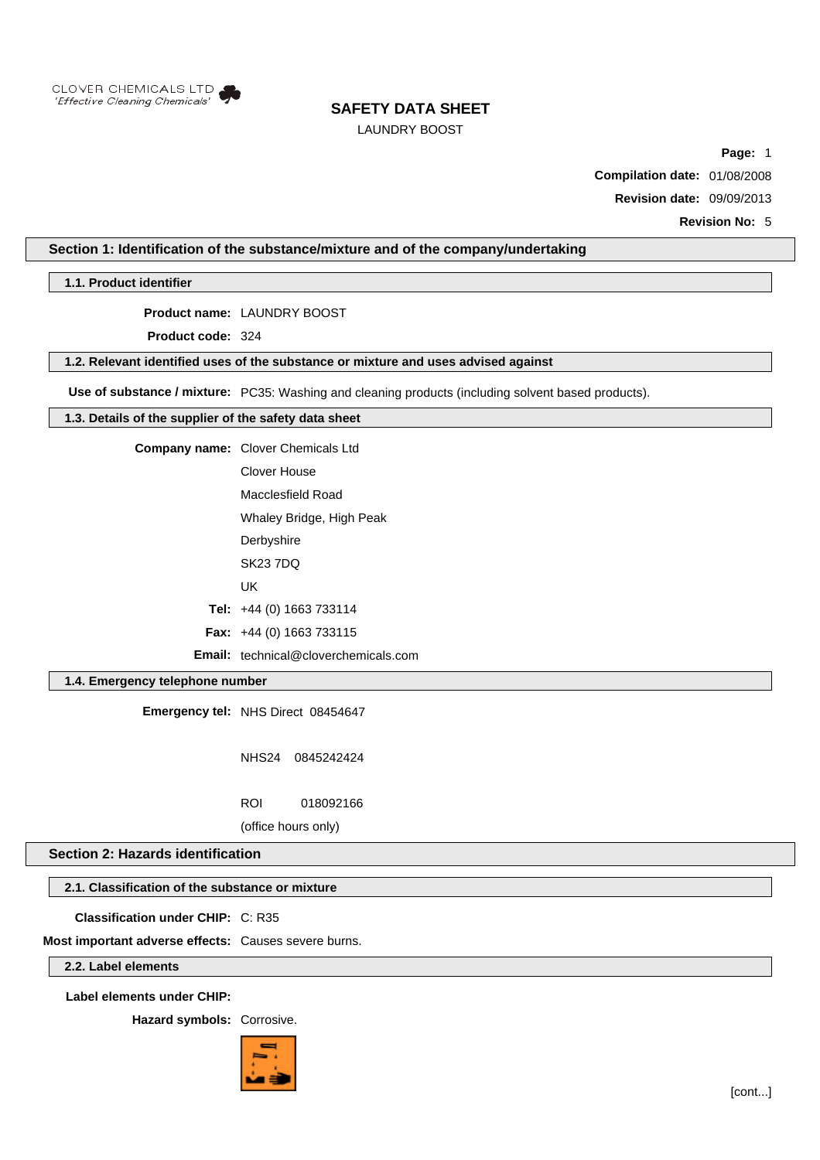

# LAUNDRY BOOST

**Page:** 1

**Compilation date:** 01/08/2008

**Revision date:** 09/09/2013

**Revision No:** 5

## **Section 1: Identification of the substance/mixture and of the company/undertaking**

**1.1. Product identifier**

**Product name:** LAUNDRY BOOST

**Product code:** 324

### **1.2. Relevant identified uses of the substance or mixture and uses advised against**

**Use of substance / mixture:** PC35: Washing and cleaning products (including solvent based products).

### **1.3. Details of the supplier of the safety data sheet**

**Company name:** Clover Chemicals Ltd

Clover House Macclesfield Road

Whaley Bridge, High Peak

- **Derbyshire**
- SK23 7DQ
- UK

**Tel:** +44 (0) 1663 733114

**Fax:** +44 (0) 1663 733115

**Email:** technical@cloverchemicals.com

## **1.4. Emergency telephone number**

**Emergency tel:** NHS Direct 08454647

NHS24 0845242424

ROI 018092166

(office hours only)

### **Section 2: Hazards identification**

### **2.1. Classification of the substance or mixture**

**Classification under CHIP:** C: R35

**Most important adverse effects:** Causes severe burns.

**2.2. Label elements**

**Label elements under CHIP:**

**Hazard symbols:** Corrosive.

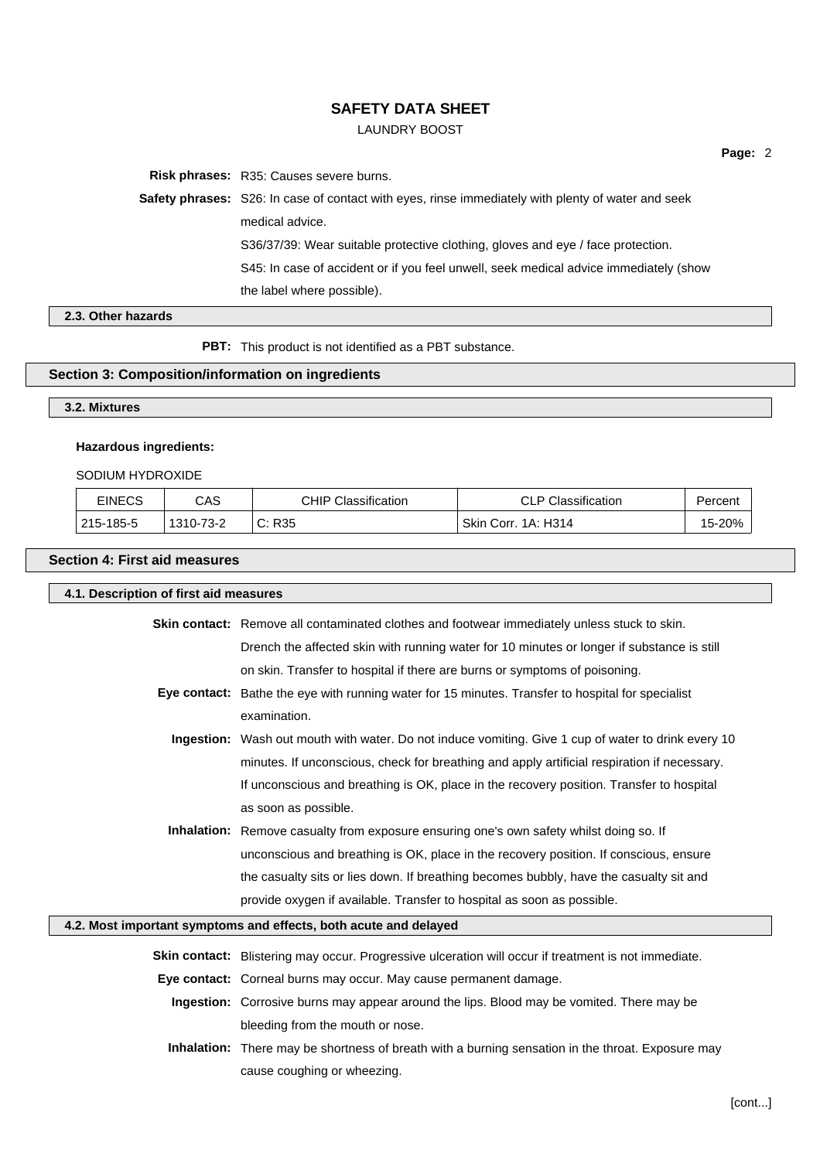# LAUNDRY BOOST

**Risk phrases:** R35: Causes severe burns.

**Safety phrases:** S26: In case of contact with eyes, rinse immediately with plenty of water and seek medical advice. S36/37/39: Wear suitable protective clothing, gloves and eye / face protection. S45: In case of accident or if you feel unwell, seek medical advice immediately (show the label where possible).

**Page:** 2

# **2.3. Other hazards**

**PBT:** This product is not identified as a PBT substance.

# **Section 3: Composition/information on ingredients**

# **3.2. Mixtures**

# **Hazardous ingredients:**

# SODIUM HYDROXIDE

| <b>EINECS</b> | CAS       | <b>CHIP Classification</b> | <b>CLP Classification</b> | Percent |
|---------------|-----------|----------------------------|---------------------------|---------|
| 215-185-5     | 1310-73-2 | C: R35<br>$\sim$           | Skin Corr. 1A: H314       | 15-20%  |

### **Section 4: First aid measures**

| 4.1. Description of first aid measures |                                                                                                      |  |  |
|----------------------------------------|------------------------------------------------------------------------------------------------------|--|--|
|                                        | Skin contact: Remove all contaminated clothes and footwear immediately unless stuck to skin.         |  |  |
|                                        | Drench the affected skin with running water for 10 minutes or longer if substance is still           |  |  |
|                                        | on skin. Transfer to hospital if there are burns or symptoms of poisoning.                           |  |  |
|                                        | Eye contact: Bathe the eye with running water for 15 minutes. Transfer to hospital for specialist    |  |  |
|                                        | examination.                                                                                         |  |  |
|                                        | Ingestion: Wash out mouth with water. Do not induce vomiting. Give 1 cup of water to drink every 10  |  |  |
|                                        | minutes. If unconscious, check for breathing and apply artificial respiration if necessary.          |  |  |
|                                        | If unconscious and breathing is OK, place in the recovery position. Transfer to hospital             |  |  |
|                                        | as soon as possible.                                                                                 |  |  |
|                                        | <b>Inhalation:</b> Remove casualty from exposure ensuring one's own safety whilst doing so. If       |  |  |
|                                        | unconscious and breathing is OK, place in the recovery position. If conscious, ensure                |  |  |
|                                        | the casualty sits or lies down. If breathing becomes bubbly, have the casualty sit and               |  |  |
|                                        | provide oxygen if available. Transfer to hospital as soon as possible.                               |  |  |
|                                        | 4.2. Most important symptoms and effects, both acute and delayed                                     |  |  |
|                                        | Skin contact: Blistering may occur. Progressive ulceration will occur if treatment is not immediate. |  |  |
|                                        | Eye contact: Corneal burns may occur. May cause permanent damage.                                    |  |  |
|                                        | <b>Ingestion:</b> Corrosive burns may appear around the lips. Blood may be vomited. There may be     |  |  |
|                                        | bleeding from the mouth or nose.                                                                     |  |  |
|                                        | Inhalation: There may be shortness of breath with a burning sensation in the throat. Exposure may    |  |  |
|                                        | cause coughing or wheezing.                                                                          |  |  |
|                                        | [cont]                                                                                               |  |  |
|                                        |                                                                                                      |  |  |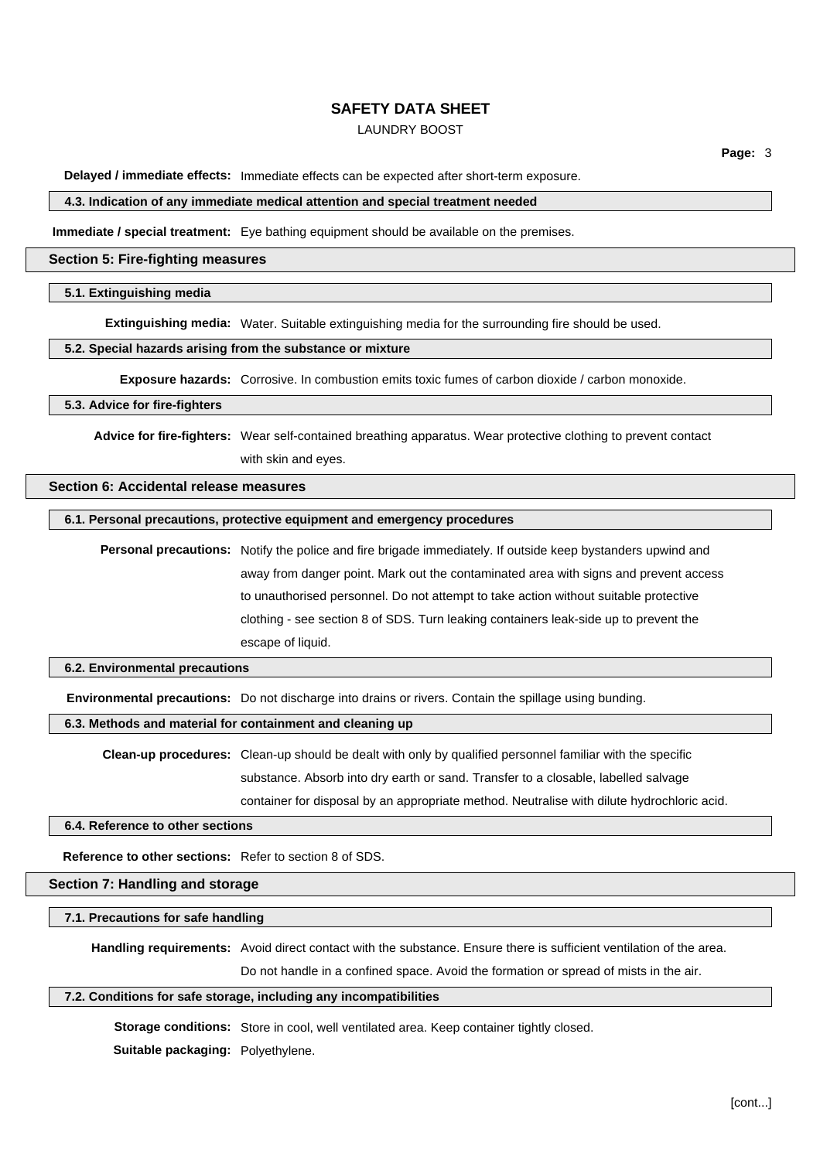## LAUNDRY BOOST

**Delayed / immediate effects:** Immediate effects can be expected after short-term exposure.

#### **4.3. Indication of any immediate medical attention and special treatment needed**

**Immediate / special treatment:** Eye bathing equipment should be available on the premises.

#### **Section 5: Fire-fighting measures**

### **5.1. Extinguishing media**

**Extinguishing media:** Water. Suitable extinguishing media for the surrounding fire should be used.

#### **5.2. Special hazards arising from the substance or mixture**

**Exposure hazards:** Corrosive. In combustion emits toxic fumes of carbon dioxide / carbon monoxide.

#### **5.3. Advice for fire-fighters**

**Advice for fire-fighters:** Wear self-contained breathing apparatus. Wear protective clothing to prevent contact with skin and eyes.

#### **Section 6: Accidental release measures**

### **6.1. Personal precautions, protective equipment and emergency procedures**

**Personal precautions:** Notify the police and fire brigade immediately. If outside keep bystanders upwind and away from danger point. Mark out the contaminated area with signs and prevent access to unauthorised personnel. Do not attempt to take action without suitable protective clothing - see section 8 of SDS. Turn leaking containers leak-side up to prevent the escape of liquid.

#### **6.2. Environmental precautions**

**Environmental precautions:** Do not discharge into drains or rivers. Contain the spillage using bunding.

**6.3. Methods and material for containment and cleaning up**

**Clean-up procedures:** Clean-up should be dealt with only by qualified personnel familiar with the specific substance. Absorb into dry earth or sand. Transfer to a closable, labelled salvage container for disposal by an appropriate method. Neutralise with dilute hydrochloric acid.

#### **6.4. Reference to other sections**

**Reference to other sections:** Refer to section 8 of SDS.

**Section 7: Handling and storage**

#### **7.1. Precautions for safe handling**

**Handling requirements:** Avoid direct contact with the substance. Ensure there is sufficient ventilation of the area.

Do not handle in a confined space. Avoid the formation or spread of mists in the air.

#### **7.2. Conditions for safe storage, including any incompatibilities**

**Storage conditions:** Store in cool, well ventilated area. Keep container tightly closed.

**Suitable packaging:** Polyethylene.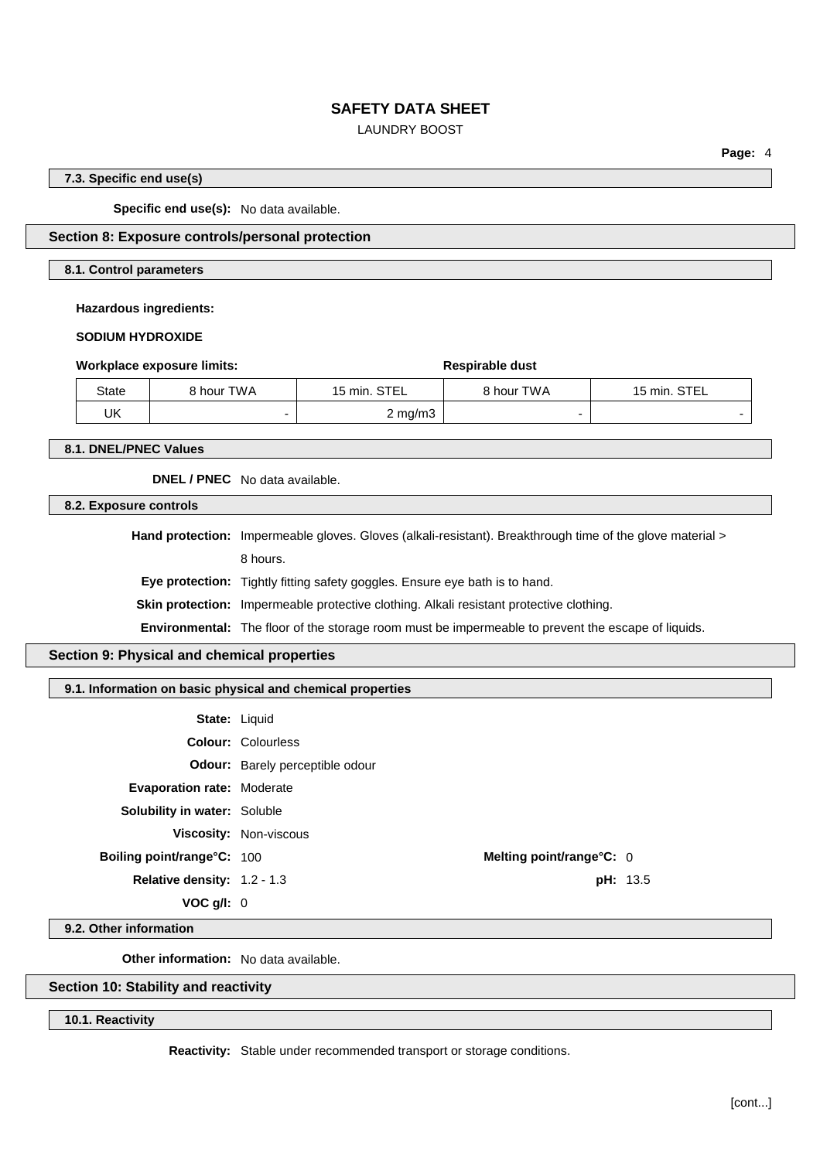## LAUNDRY BOOST

**Page:** 4

### **7.3. Specific end use(s)**

**Specific end use(s):** No data available.

### **Section 8: Exposure controls/personal protection**

#### **8.1. Control parameters**

**Hazardous ingredients:**

**SODIUM HYDROXIDE**

|  |  |  | Workplace exposure limits |  |
|--|--|--|---------------------------|--|
|--|--|--|---------------------------|--|

|       | Workplace exposure limits: | Respirable dust  |            |              |
|-------|----------------------------|------------------|------------|--------------|
| State | 8 hour TWA                 | 15 min. STEL     | 8 hour TWA | 15 min. STEL |
| IJΚ   |                            | $2 \text{ mg/m}$ |            |              |

**8.1. DNEL/PNEC Values**

**DNEL / PNEC** No data available.

**8.2. Exposure controls**

**Hand protection:** Impermeable gloves. Gloves (alkali-resistant). Breakthrough time of the glove material > 8 hours.

**Eye protection:** Tightly fitting safety goggles. Ensure eye bath is to hand.

**Skin protection:** Impermeable protective clothing. Alkali resistant protective clothing.

**Environmental:** The floor of the storage room must be impermeable to prevent the escape of liquids.

# **Section 9: Physical and chemical properties**

### **9.1. Information on basic physical and chemical properties**

|                                     | <b>State: Liquid</b>                   |  |
|-------------------------------------|----------------------------------------|--|
|                                     | <b>Colour: Colourless</b>              |  |
|                                     | <b>Odour:</b> Barely perceptible odour |  |
| <b>Evaporation rate: Moderate</b>   |                                        |  |
| <b>Solubility in water: Soluble</b> |                                        |  |
|                                     | <b>Viscosity: Non-viscous</b>          |  |
| Boiling point/range°C: 100          | Melting point/range°C: 0               |  |
| <b>Relative density: 1.2 - 1.3</b>  | <b>pH</b> : 1                          |  |
| VOC q/l: 0                          |                                        |  |

**pH:** 13.5

**9.2. Other information**

**Other information:** No data available.

### **Section 10: Stability and reactivity**

**10.1. Reactivity**

**Reactivity:** Stable under recommended transport or storage conditions.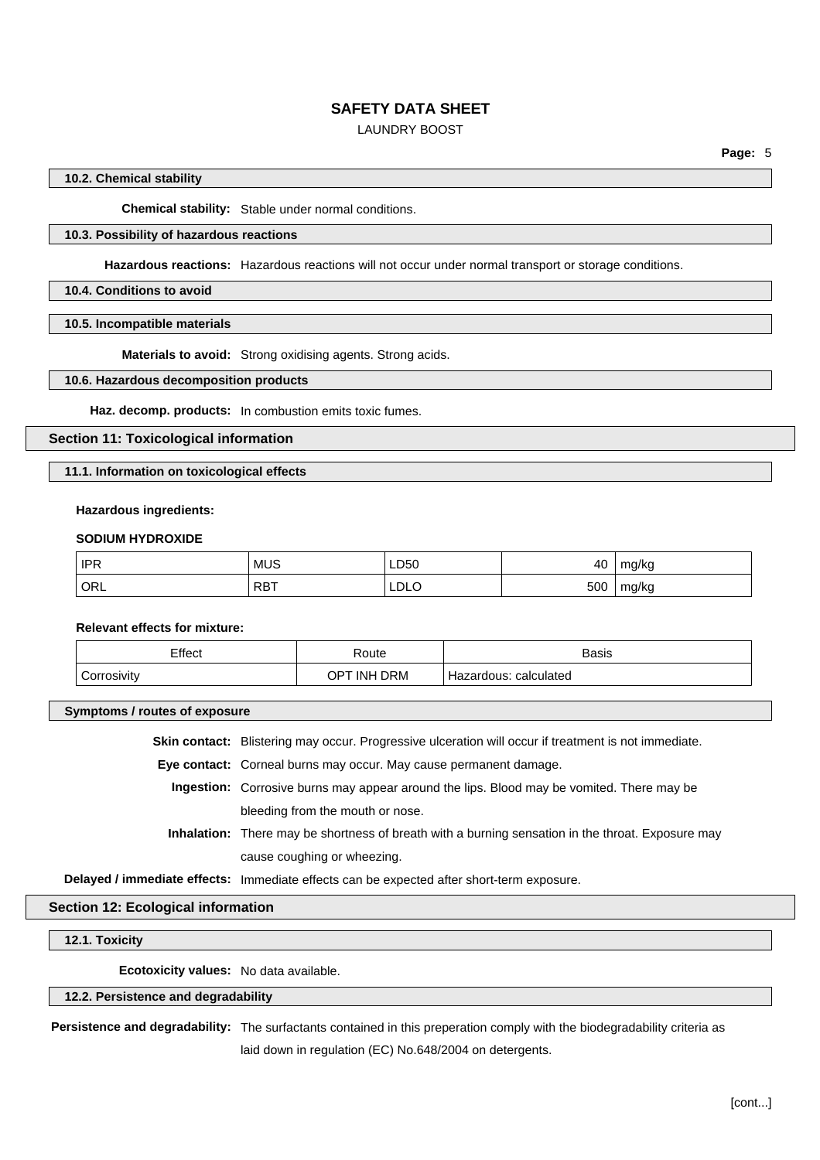## LAUNDRY BOOST

### **10.2. Chemical stability**

**Chemical stability:** Stable under normal conditions.

## **10.3. Possibility of hazardous reactions**

**Hazardous reactions:** Hazardous reactions will not occur under normal transport or storage conditions.

### **10.4. Conditions to avoid**

**10.5. Incompatible materials**

**Materials to avoid:** Strong oxidising agents. Strong acids.

### **10.6. Hazardous decomposition products**

**Haz. decomp. products:** In combustion emits toxic fumes.

### **Section 11: Toxicological information**

#### **11.1. Information on toxicological effects**

#### **Hazardous ingredients:**

#### **SODIUM HYDROXIDE**

| IPR <sup>'</sup> | <b>MUS</b>         | LD50<br>___ | 40  | mg/kg |
|------------------|--------------------|-------------|-----|-------|
| ORL              | <b>DDT</b><br>RD I | LDLO        | 500 | mg/kg |

# **Relevant effects for mixture:**

| Effect      | Route       | <b>Basis</b>          |
|-------------|-------------|-----------------------|
| Corrosivity | OPT INH DRM | Hazardous: calculated |

#### **Symptoms / routes of exposure**

**Skin contact:** Blistering may occur. Progressive ulceration will occur if treatment is not immediate.

**Eye contact:** Corneal burns may occur. May cause permanent damage.

- **Ingestion:** Corrosive burns may appear around the lips. Blood may be vomited. There may be bleeding from the mouth or nose.
- **Inhalation:** There may be shortness of breath with a burning sensation in the throat. Exposure may cause coughing or wheezing.

**Delayed / immediate effects:** Immediate effects can be expected after short-term exposure.

#### **Section 12: Ecological information**

### **12.1. Toxicity**

**Ecotoxicity values:** No data available.

### **12.2. Persistence and degradability**

**Persistence and degradability:** The surfactants contained in this preperation comply with the biodegradability criteria as laid down in regulation (EC) No.648/2004 on detergents.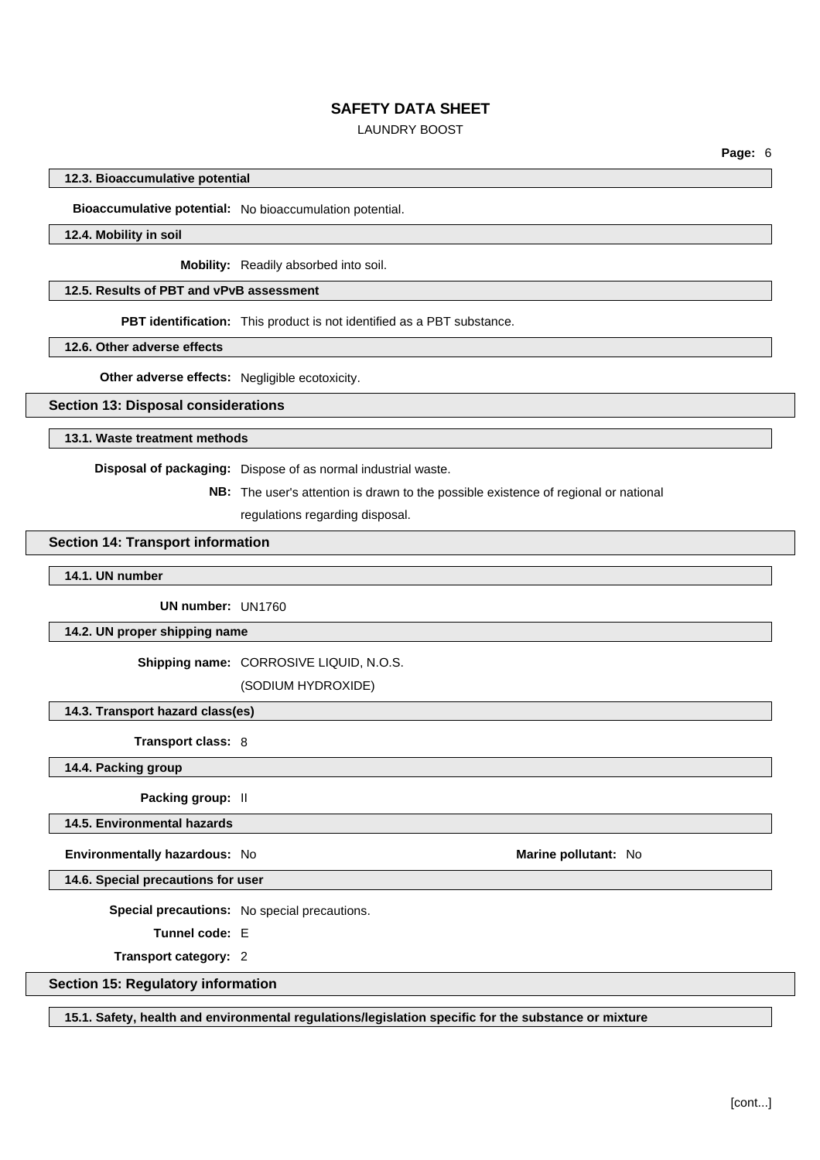# LAUNDRY BOOST

**Page:** 6

#### **12.3. Bioaccumulative potential**

**Bioaccumulative potential:** No bioaccumulation potential.

#### **12.4. Mobility in soil**

**Mobility:** Readily absorbed into soil.

## **12.5. Results of PBT and vPvB assessment**

**PBT identification:** This product is not identified as a PBT substance.

**12.6. Other adverse effects**

**Other adverse effects:** Negligible ecotoxicity.

#### **Section 13: Disposal considerations**

**13.1. Waste treatment methods**

**Disposal of packaging:** Dispose of as normal industrial waste.

**NB:** The user's attention is drawn to the possible existence of regional or national

regulations regarding disposal.

#### **Section 14: Transport information**

**14.1. UN number**

**UN number:** UN1760

### **14.2. UN proper shipping name**

**Shipping name:** CORROSIVE LIQUID, N.O.S.

(SODIUM HYDROXIDE)

#### **14.3. Transport hazard class(es)**

**Transport class:** 8

**14.4. Packing group**

**Packing group:** II

**14.5. Environmental hazards**

**Environmentally hazardous:** No **Marine pollutant:** No **Marine pollutant:** No

**14.6. Special precautions for user**

**Special precautions:** No special precautions.

**Tunnel code:** E

**Transport category:** 2

### **Section 15: Regulatory information**

**15.1. Safety, health and environmental regulations/legislation specific for the substance or mixture**